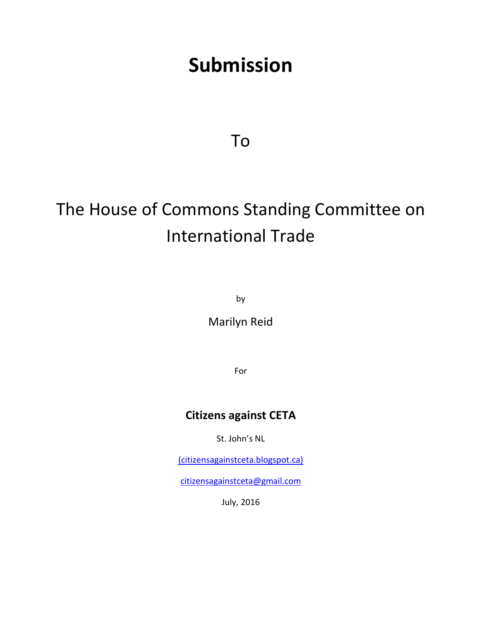# **Submission**

To

# The House of Commons Standing Committee on International Trade

by

Marilyn Reid

For

## **Citizens against CETA**

St. John's NL

(citizensagainstceta.blogspot.ca)

[citizensagainstceta@gmail.com](mailto:citizensagainstceta@gmail.com)

July, 2016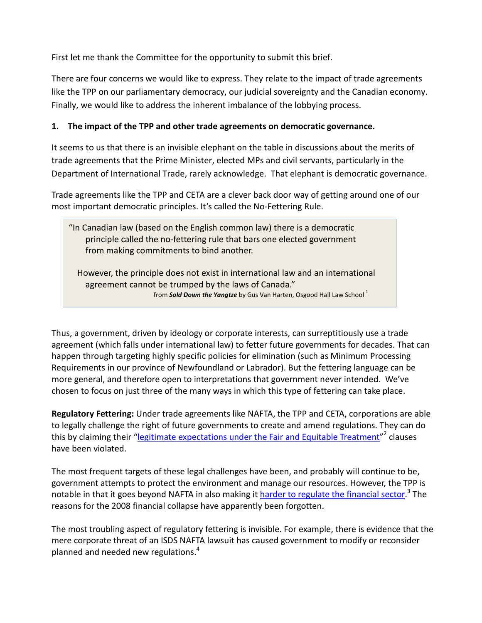First let me thank the Committee for the opportunity to submit this brief.

There are four concerns we would like to express. They relate to the impact of trade agreements like the TPP on our parliamentary democracy, our judicial sovereignty and the Canadian economy. Finally, we would like to address the inherent imbalance of the lobbying process.

### **1. The impact of the TPP and other trade agreements on democratic governance.**

It seems to us that there is an invisible elephant on the table in discussions about the merits of trade agreements that the Prime Minister, elected MPs and civil servants, particularly in the Department of International Trade, rarely acknowledge. That elephant is democratic governance.

Trade agreements like the TPP and CETA are a clever back door way of getting around one of our most important democratic principles. It's called the No-Fettering Rule.

"In Canadian law (based on the English common law) there is a democratic principle called the no-fettering rule that bars one elected government from making commitments to bind another.

 However, the principle does not exist in international law and an international agreement cannot be trumped by the laws of Canada." from **Sold Down the Yangtze** by Gus Van Harten, Osgood Hall Law School<sup>1</sup>

Thus, a government, driven by ideology or corporate interests, can surreptitiously use a trade agreement (which falls under international law) to fetter future governments for decades. That can happen through targeting highly specific policies for elimination (such as Minimum Processing Requirements in our province of Newfoundland or Labrador). But the fettering language can be more general, and therefore open to interpretations that government never intended. We've chosen to focus on just three of the many ways in which this type of fettering can take place.

**Regulatory Fettering:** Under trade agreements like NAFTA, the TPP and CETA, corporations are able to legally challenge the right of future governments to create and amend regulations. They can do this by claiming their "<u>legitimate expectations under the Fair and Equitable Treatment</u>"<sup>2</sup> clauses have been violated.

The most frequent targets of these legal challenges have been, and probably will continue to be, government attempts to protect the environment and manage our resources. However, the TPP is notable in that it goes beyond NAFTA in also making it [harder to regulate the financial sector.](https://www.policyalternatives.ca/sites/default/files/uploads/publications/National%20Office/2016/06/Foreign_Investor_Protections_TPP.pdf)<sup>3</sup> The reasons for the 2008 financial collapse have apparently been forgotten.

The most troubling aspect of regulatory fettering is invisible. For example, there is evidence that the mere corporate threat of an ISDS NAFTA lawsuit has caused government to modify or reconsider planned and needed new regulations.<sup>4</sup>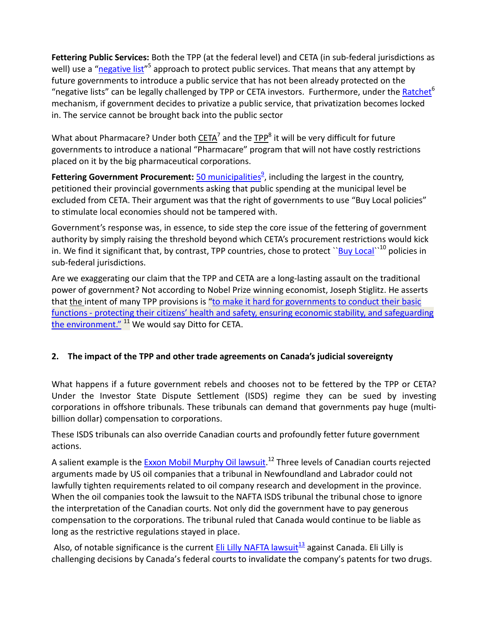**Fettering Public Services:** Both the TPP (at the federal level) and CETA (in sub-federal jurisdictions as well) use a ["negative list"](http://tradejustice.ca/ceta/ceta-and-services/)<sup>5</sup> approach to protect public services. That means that any attempt by future governments to introduce a public service that has not been already protected on the "negative lists" can be legally challenged by TPP or CETA investors. Furthermore, under the **Ratchet<sup>6</sup>** mechanism, if government decides to privatize a public service, that privatization becomes locked in. The service cannot be brought back into the public sector

What about Pharmacare? Under both [CETA](http://canadians.org/blog/ceta-costs-pharmacare-saves-which-did-harper-choose)<sup>7</sup> and the TPP<sup>8</sup> it will be very difficult for future governments to introduce a national "Pharmacare" program that will not have costly restrictions placed on it by the big pharmaceutical corporations.

Fettering Government Procurement: **50 municipalities<sup>9</sup>, including the largest in the country**, petitioned their provincial governments asking that public spending at the municipal level be excluded from CETA. Their argument was that the right of governments to use "Buy Local policies" to stimulate local economies should not be tampered with.

Government's response was, in essence, to side step the core issue of the fettering of government authority by simply raising the threshold beyond which CETA's procurement restrictions would kick in. We find it significant that, by contrast, TPP countries, chose to protect "Buy Local"<sup>10</sup> policies in sub-federal jurisdictions.

Are we exaggerating our claim that the TPP and CETA are a long-lasting assault on the traditional power of government? Not according to Nobel Prize winning economist, Joseph Stiglitz. He asserts that the intent of many TPP provisions is "to make it hard for governments to conduct their basic functions - protecting their citizens' health and safety, ensuring economic stability, and safeguarding [the environment."](http://yaleglobal.yale.edu/content/trans-pacific-free-trade-charade) <sup>11</sup> We would say Ditto for CETA.

### **2. The impact of the TPP and other trade agreements on Canada's judicial sovereignty**

What happens if a future government rebels and chooses not to be fettered by the TPP or CETA? Under the Investor State Dispute Settlement (ISDS) regime they can be sued by investing corporations in offshore tribunals. These tribunals can demand that governments pay huge (multibillion dollar) compensation to corporations.

These ISDS tribunals can also override Canadian courts and profoundly fetter future government actions.

A salient example is the [Exxon Mobil Murphy Oil lawsuit.](http://canadians.org/action/2012/CETA-resolution.html)<sup>12</sup> Three levels of Canadian courts rejected arguments made by US oil companies that a tribunal in Newfoundland and Labrador could not lawfully tighten requirements related to oil company research and development in the province. When the oil companies took the lawsuit to the NAFTA ISDS tribunal the tribunal chose to ignore the interpretation of the Canadian courts. Not only did the government have to pay generous compensation to the corporations. The tribunal ruled that Canada would continue to be liable as long as the restrictive regulations stayed in place.

Also, of notable significance is the current Eli Lilly NAFTA lawsuit $13/3$  against Canada. Eli Lilly is challenging decisions by Canada's federal courts to invalidate the company's patents for two drugs.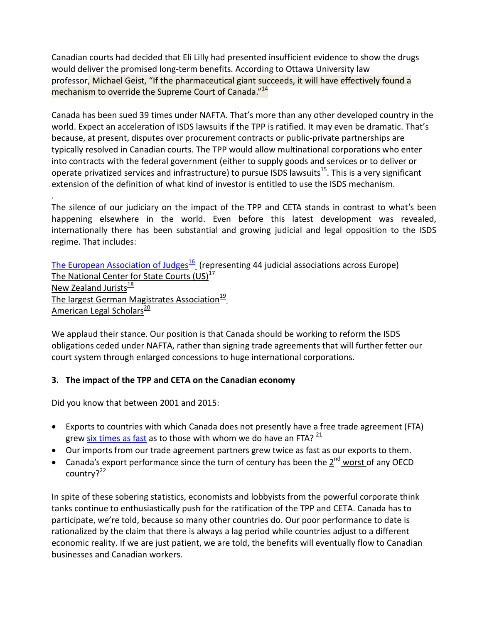Canadian courts had decided that Eli Lilly had presented insufficient evidence to show the drugs would deliver the promised long-term benefits. According to Ottawa University law professor, [Michael Geist,](http://www.michaelgeist.ca/2014/08/20-year-old-patent-application-end-canadas-biggest-trade-deal/) "If the pharmaceutical giant succeeds, it will have effectively found a mechanism to override the Supreme Court of Canada."<sup>14</sup>

Canada has been sued 39 times under NAFTA. That's more than any other developed country in the world. Expect an acceleration of ISDS lawsuits if the TPP is ratified. It may even be dramatic. That's because, at present, disputes over procurement contracts or public-private partnerships are typically resolved in Canadian courts. The TPP would allow multinational corporations who enter into contracts with the federal government (either to supply goods and services or to deliver or operate privatized services and infrastructure) to pursue ISDS lawsuits<sup>15</sup>. This is a very significant extension of the definition of what kind of investor is entitled to use the ISDS mechanism.

. The silence of our judiciary on the impact of the TPP and CETA stands in contrast to what's been happening elsewhere in the world. Even before this latest development was revealed, internationally there has been substantial and growing judicial and legal opposition to the ISDS regime. That includes:

The European Association of Judges $\frac{16}{2}$  (representing 44 judicial associations across Europe) The National Center for State Courts  $(US)^{17}$ New Zealand Jurists $\frac{18}{18}$ The largest German Magistrates Association<sup>19</sup> American Legal Scholars<sup>20</sup>

We applaud their stance. Our position is that Canada should be working to reform the ISDS obligations ceded under NAFTA, rather than signing trade agreements that will further fetter our court system through enlarged concessions to huge international corporations.

#### **3. The impact of the TPP and CETA on the Canadian economy**

Did you know that between 2001 and 2015:

- Exports to countries with which Canada does not presently have a free trade agreement (FTA) grew [six times as fast](http://www.progressive-economics.ca/2016/04/14/signing-trade-deals-is-not-synonymous-with-promoting-trade/) as to those with whom we do have an FTA?  $^{21}$
- Our imports from our trade agreement partners grew twice as fast as our exports to them.
- Canada's export performance since the turn of century has been the 2<sup>nd</sup> [worst o](http://www.progressive-economics.ca/2016/04/14/signing-trade-deals-is-not-synonymous-with-promoting-trade/)f any OECD country?<sup>22</sup>

In spite of these sobering statistics, economists and lobbyists from the powerful corporate think tanks continue to enthusiastically push for the ratification of the TPP and CETA. Canada has to participate, we're told, because so many other countries do. Our poor performance to date is rationalized by the claim that there is always a lag period while countries adjust to a different economic reality. If we are just patient, we are told, the benefits will eventually flow to Canadian businesses and Canadian workers.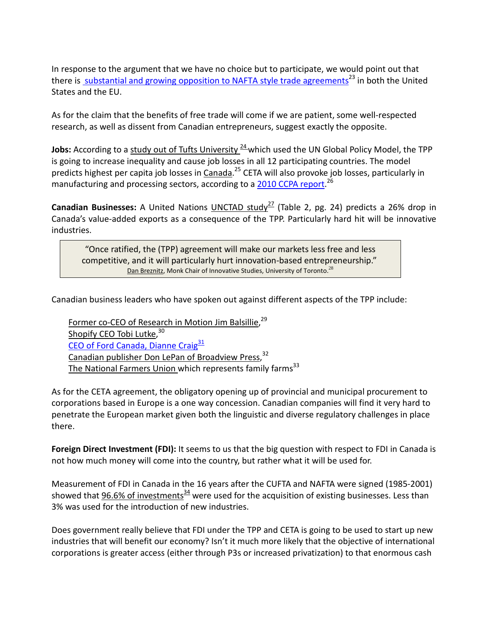In response to the argument that we have no choice but to participate, we would point out that there is [substantial and growing opposition to](http://www.globaljustice.org.uk/blog/2016/apr/29/how-ttip-and-ceta-got-little-bit-less-likely-last-week) NAFTA style trade agreements<sup>23</sup> in both the United States and the EU.

As for the claim that the benefits of free trade will come if we are patient, some well-respected research, as well as dissent from Canadian entrepreneurs, suggest exactly the opposite.

**Jobs:** According to a study out of Tufts University <sup>24</sup> which used the UN Global Policy Model, the TPP is going to increase inequality and cause job losses in all 12 participating countries. The model predicts highest per capita job losses in *Canada*.<sup>25</sup> CETA will also provoke job losses, particularly in manufacturing and processing sectors, according to a [2010 CCPA report.](https://www.policyalternatives.ca/publications/commentary/ceta-undermines-canada%E2%80%99s-ability-benefit-increased-international-trade)<sup>26</sup>

**Canadian Businesses:** A United Nations UNCTAD study<sup>27</sup> (Table 2, pg. 24) predicts a 26% drop in Canada's value-added exports as a consequence of the TPP. Particularly hard hit will be innovative industries.

"Once ratified, the (TPP) agreement will make our markets less free and less competitive, and it will particularly hurt innovation-based entrepreneurship." [Dan Breznitz,](http://www.theglobeandmail.com/report-on-business/rob-commentary/trans-pacific-partnership-is-a-wonderful-idea-for-china/article27939142/) Monk Chair of Innovative Studies, University of Toronto.<sup>28</sup>

Canadian business leaders who have spoken out against different aspects of the TPP include:

[Former co-CEO of Research in Motion Jim Balsillie,](http://www.theglobeandmail.com/report-on-business/rob-commentary/for-canadian-innovators-will-tpp-mean-protection-or-colonialism/article28462854/)<sup>29</sup> [Shopify](http://www.huffingtonpost.ca/2016/02/18/shopify-ceo-calls-on-federal-government-to-abandon-tax-plan-for-stock-options_n_9266156.html) [CEO Tobi Lutke,](http://www.huffingtonpost.ca/2016/02/18/shopify-ceo-calls-on-federal-government-to-abandon-tax-plan-for-stock-options_n_9266156.html) 30 CEO of Ford Canada, Dianne Craig $31$ [Canadian publisher Don LePan](http://donlepan.blogspot.ca/2015/10/copyright-tpp-and-canadian-election.html) [of Broadview Press,](http://donlepan.blogspot.ca/2015/10/copyright-tpp-and-canadian-election.html)<sup>32</sup> [The National Farmers](http://www.nfu.ca/issues/trans-pacific-partnership-tpp) Union which represents family farms $33$ 

As for the CETA agreement, the obligatory opening up of provincial and municipal procurement to corporations based in Europe is a one way concession. Canadian companies will find it very hard to penetrate the European market given both the linguistic and diverse regulatory challenges in place there.

**Foreign Direct Investment (FDI):** It seems to us that the big question with respect to FDI in Canada is not how much money will come into the country, but rather what it will be used for.

Measurement of FDI in Canada in the 16 years after the CUFTA and NAFTA were signed (1985-2001) showed that 96.6% of investments $34$  were used for the acquisition of existing businesses. Less than 3% was used for the introduction of new industries.

Does government really believe that FDI under the TPP and CETA is going to be used to start up new industries that will benefit our economy? Isn't it much more likely that the objective of international corporations is greater access (either through P3s or increased privatization) to that enormous cash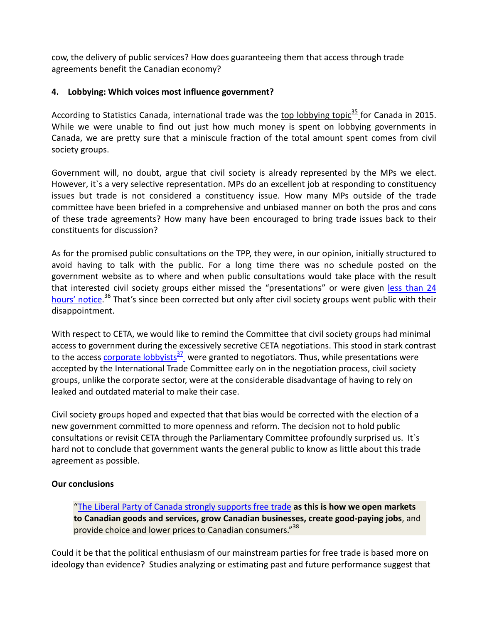cow, the delivery of public services? How does guaranteeing them that access through trade agreements benefit the Canadian economy?

#### **4. Lobbying: Which voices most influence government?**

According to Statistics Canada, international trade was the top lobbying topic<sup>35</sup> for Canada in 2015. While we were unable to find out just how much money is spent on lobbying governments in Canada, we are pretty sure that a miniscule fraction of the total amount spent comes from civil society groups.

Government will, no doubt, argue that civil society is already represented by the MPs we elect. However, it`s a very selective representation. MPs do an excellent job at responding to constituency issues but trade is not considered a constituency issue. How many MPs outside of the trade committee have been briefed in a comprehensive and unbiased manner on both the pros and cons of these trade agreements? How many have been encouraged to bring trade issues back to their constituents for discussion?

As for the promised public consultations on the TPP, they were, in our opinion, initially structured to avoid having to talk with the public. For a long time there was no schedule posted on the government website as to where and when public consultations would take place with the result that interested civil society groups either missed the "presentations" or were given less than 24 hours' [notice.](http://www.huffingtonpost.ca/sujata-dey/tpp-consultations_b_9550642.html)<sup>36</sup> That's since been corrected but only after civil society groups went public with their disappointment.

With respect to CETA, we would like to remind the Committee that civil society groups had minimal access to government during the excessively secretive CETA negotiations. This stood in stark contrast to the access corporate lobbyists $37$  were granted to negotiators. Thus, while presentations were accepted by the International Trade Committee early on in the negotiation process, civil society groups, unlike the corporate sector, were at the considerable disadvantage of having to rely on leaked and outdated material to make their case.

Civil society groups hoped and expected that that bias would be corrected with the election of a new government committed to more openness and reform. The decision not to hold public consultations or revisit CETA through the Parliamentary Committee profoundly surprised us. It`s hard not to conclude that government wants the general public to know as little about this trade agreement as possible.

#### **Our conclusions**

["The Liberal Party of Canada strongly supports free trade](https://www.liberal.ca/statement-by-liberal-party-of-canada-leader-justin-trudeau-on-the-trans-pacific-partnership/) **as this is how we open markets to Canadian goods and services, grow Canadian businesses, create good-paying jobs**, and provide choice and lower prices to Canadian consumers."<sup>38</sup>

Could it be that the political enthusiasm of our mainstream parties for free trade is based more on ideology than evidence? Studies analyzing or estimating past and future performance suggest that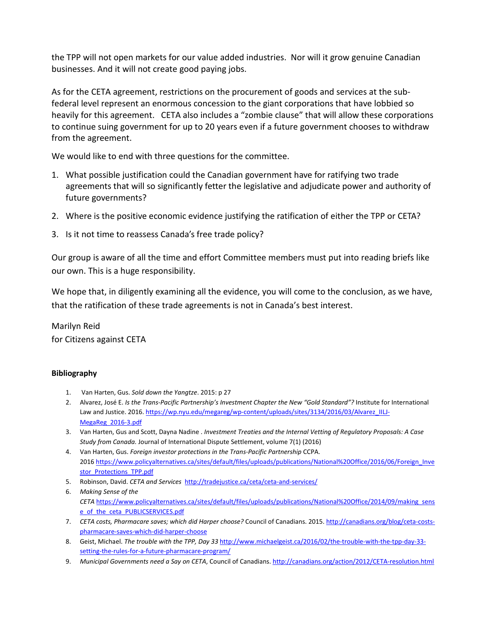the TPP will not open markets for our value added industries. Nor will it grow genuine Canadian businesses. And it will not create good paying jobs.

As for the CETA agreement, restrictions on the procurement of goods and services at the subfederal level represent an enormous concession to the giant corporations that have lobbied so heavily for this agreement. CETA also includes a "zombie clause" that will allow these corporations to continue suing government for up to 20 years even if a future government chooses to withdraw from the agreement.

We would like to end with three questions for the committee.

- 1. What possible justification could the Canadian government have for ratifying two trade agreements that will so significantly fetter the legislative and adjudicate power and authority of future governments?
- 2. Where is the positive economic evidence justifying the ratification of either the TPP or CETA?
- 3. Is it not time to reassess Canada's free trade policy?

Our group is aware of all the time and effort Committee members must put into reading briefs like our own. This is a huge responsibility.

We hope that, in diligently examining all the evidence, you will come to the conclusion, as we have, that the ratification of these trade agreements is not in Canada's best interest.

Marilyn Reid for Citizens against CETA

#### **Bibliography**

- 1. Van Harten, Gus. *Sold down the Yangtze*. 2015: p 27
- 2. Alvarez, José E. *Is the Trans-Pacific Partnership's Investment Chapter the New "Gold Standard"?* Institute for International Law and Justice. 2016[. https://wp.nyu.edu/megareg/wp-content/uploads/sites/3134/2016/03/Alvarez\\_IILJ-](https://wp.nyu.edu/megareg/wp-content/uploads/sites/3134/2016/03/Alvarez_IILJ-MegaReg_2016-3.pdf)[MegaReg\\_2016-3.pdf](https://wp.nyu.edu/megareg/wp-content/uploads/sites/3134/2016/03/Alvarez_IILJ-MegaReg_2016-3.pdf)
- 3. Van Harten, Gus and Scott, Dayna Nadine . *Investment Treaties and the Internal Vetting of Regulatory Proposals: A Case Study from Canada.* Journal of International Dispute Settlement, volume 7(1) (2016)
- 4. Van Harten, Gus. *Foreign investor protections in the Trans-Pacific Partnership* CCPA. 2016 [https://www.policyalternatives.ca/sites/default/files/uploads/publications/National%20Office/2016/06/Foreign\\_Inve](https://www.policyalternatives.ca/sites/default/files/uploads/publications/National%20Office/2016/06/Foreign_Investor_Protections_TPP.pdf) [stor\\_Protections\\_TPP.pdf](https://www.policyalternatives.ca/sites/default/files/uploads/publications/National%20Office/2016/06/Foreign_Investor_Protections_TPP.pdf)
- 5. Robinson, David. *CETA and Services* <http://tradejustice.ca/ceta/ceta-and-services/>
- 6. *Making Sense of the CETA* [https://www.policyalternatives.ca/sites/default/files/uploads/publications/National%20Office/2014/09/making\\_sens](https://www.policyalternatives.ca/sites/default/files/uploads/publications/National%20Office/2014/09/making_sense_of_the_ceta_PUBLICSERVICES.pdf) [e\\_of\\_the\\_ceta\\_PUBLICSERVICES.pdf](https://www.policyalternatives.ca/sites/default/files/uploads/publications/National%20Office/2014/09/making_sense_of_the_ceta_PUBLICSERVICES.pdf)
- 7. *CETA costs, Pharmacare saves; which did Harper choose?* Council of Canadians. 2015[. http://canadians.org/blog/ceta-costs](http://canadians.org/blog/ceta-costs-pharmacare-saves-which-did-harper-choose)[pharmacare-saves-which-did-harper-choose](http://canadians.org/blog/ceta-costs-pharmacare-saves-which-did-harper-choose)
- 8. Geist, Michael. *The trouble with the TPP, Day 33* [http://www.michaelgeist.ca/2016/02/the-trouble-with-the-tpp-day-33](http://www.michaelgeist.ca/2016/02/the-trouble-with-the-tpp-day-33-setting-the-rules-for-a-future-pharmacare-program/) [setting-the-rules-for-a-future-pharmacare-program/](http://www.michaelgeist.ca/2016/02/the-trouble-with-the-tpp-day-33-setting-the-rules-for-a-future-pharmacare-program/)
- 9. *Municipal Governments need a Say on CETA*, Council of Canadians[. http://canadians.org/action/2012/CETA-resolution.html](http://canadians.org/action/2012/CETA-resolution.html)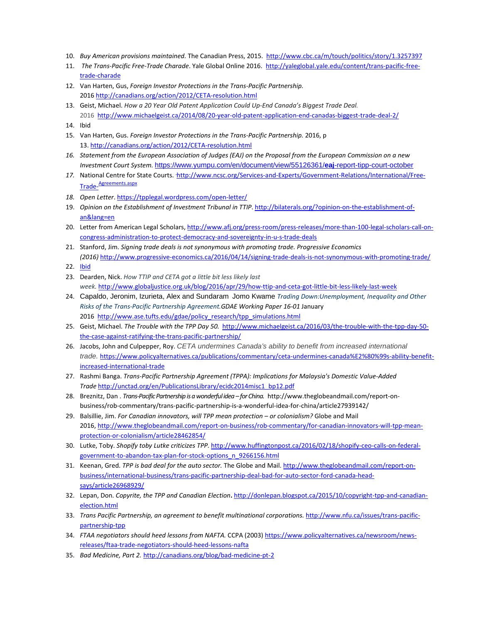- 10. *Buy American provisions maintained.* The Canadian Press, 2015. <http://www.cbc.ca/m/touch/politics/story/1.3257397>
- 11. *The Trans-Pacific Free-Trade Charade*. Yale Global Online 2016. [http://yaleglobal.yale.edu/content/trans-pacific-free](http://yaleglobal.yale.edu/content/trans-pacific-free-trade-charade)[trade-charade](http://yaleglobal.yale.edu/content/trans-pacific-free-trade-charade)
- 12. Van Harten, Gus, *Foreign Investor Protections in the Trans-Pacific Partnership.* 2016<http://canadians.org/action/2012/CETA-resolution.html>
- 13. Geist, Michael. *[How a 20 Year Old Patent Application Could Up-End Canada's Biggest Trade Deal.](http://www.michaelgeist.ca/2014/08/20-year-old-patent-application-end-canadas-biggest-trade-deal-2/)* 2016 <http://www.michaelgeist.ca/2014/08/20-year-old-patent-application-end-canadas-biggest-trade-deal-2/>
- 14. Ibid
- 15. Van Harten, Gus. *Foreign Investor Protections in the Trans-Pacific Partnership.* 2016, p 13.<http://canadians.org/action/2012/CETA-resolution.html>
- *16. Statement from the European Association of Judges (EAJ) on the Proposal from the European Commission on a new Investment Court System.* [https://www.yumpu.com/en/document/view/55126361/](https://www.yumpu.com/en/document/view/55126361/eaj-report-tipp-court-october)**eaj**-report-tipp-court-october
- 17. National Centre for State Courts. [http://www.ncsc.org/Services-and-Experts/Government-Relations/International/Free-](http://www.ncsc.org/Services-and-Experts/Government-Relations/International/Free-Trade-Agreements.aspx)Trade-[Agreements.aspx](http://www.ncsc.org/Services-and-Experts/Government-Relations/International/Free-Trade-Agreements.aspx)
- *18. Open Letter*.<https://tpplegal.wordpress.com/open-letter/>
- 19. *Opinion on the Establishment of Investment Tribunal in TTIP*. [http://bilaterals.org/?opinion-on-the-establishment-of](http://bilaterals.org/?opinion-on-the-establishment-of-an&lang=en)[an&lang=en](http://bilaterals.org/?opinion-on-the-establishment-of-an&lang=en)
- 20. Letter from American Legal Scholars, [http://www.afj.org/press-room/press-releases/more-than-100-legal-scholars-call-on](http://www.afj.org/press-room/press-releases/more-than-100-legal-scholars-call-on-congress-administration-to-protect-democracy-and-sovereignty-in-u-s-trade-deals)[congress-administration-to-protect-democracy-and-sovereignty-in-u-s-trade-deals](http://www.afj.org/press-room/press-releases/more-than-100-legal-scholars-call-on-congress-administration-to-protect-democracy-and-sovereignty-in-u-s-trade-deals)
- 21. Stanford, Jim. *Signing trade deals is not synonymous with promoting trade. Progressive Economics (2016)* <http://www.progressive-economics.ca/2016/04/14/signing-trade-deals-is-not-synonymous-with-promoting-trade/>
- 22. [Ibid](http://www.progressive-economics.ca/2016/04/14/signing-trade-deals-is-not-synonymous-with-promoting-trade/)
- 23. Dearden, Nick. *How TTIP and CETA got a little bit less likely last week.* <http://www.globaljustice.org.uk/blog/2016/apr/29/how-ttip-and-ceta-got-little-bit-less-likely-last-week>
- 24. Capaldo, Jeronim, Izurieta, Alex and Sundaram Jomo Kwame *Trading Down:Unemployment, Inequality and Other Risks of the Trans-Pacific Partnership Agreement.GDAE Working Paper 16-01* January 2016 [http://www.ase.tufts.edu/gdae/policy\\_research/tpp\\_simulations.html](http://www.ase.tufts.edu/gdae/policy_research/tpp_simulations.html)
- 25. Geist, Michael. *The Trouble with the TPP Day 50.* [http://www.michaelgeist.ca/2016/03/the-trouble-with-the-tpp-day-50](http://www.michaelgeist.ca/2016/03/the-trouble-with-the-tpp-day-50-the-case-against-ratifying-the-trans-pacific-partnership/) [the-case-against-ratifying-the-trans-pacific-partnership/](http://www.michaelgeist.ca/2016/03/the-trouble-with-the-tpp-day-50-the-case-against-ratifying-the-trans-pacific-partnership/)
- 26. Jacobs, John and Culpepper, Roy. *CETA undermines Canada's ability to benefit from increased international trade.* [https://www.policyalternatives.ca/publications/commentary/ceta-undermines-canada%E2%80%99s-ability-benefit](https://www.policyalternatives.ca/publications/commentary/ceta-undermines-canada%E2%80%99s-ability-benefit-increased-international-trade)[increased-international-trade](https://www.policyalternatives.ca/publications/commentary/ceta-undermines-canada%E2%80%99s-ability-benefit-increased-international-trade)
- 27. Rashmi Banga. *Trans-Pacific Partnership Agreement (TPPA): Implications for Malaysia's Domestic Value-Added Trade* [http://unctad.org/en/PublicationsLibrary/ecidc2014misc1\\_bp12.pdf](http://unctad.org/en/PublicationsLibrary/ecidc2014misc1_bp12.pdf)
- 28. Breznitz, Dan . *Trans-Pacific Partnership is a wonderful idea –for China.* http://www.theglobeandmail.com/report-onbusiness/rob-commentary/trans-pacific-partnership-is-a-wonderful-idea-for-china/article27939142/
- 29. Balsillie, Jim. *For Canadian innovators, will TPP mean protection – or colonialism?* Globe and Mail 2016[, http://www.theglobeandmail.com/report-on-business/rob-commentary/for-canadian-innovators-will-tpp-mean](http://www.theglobeandmail.com/report-on-business/rob-commentary/for-canadian-innovators-will-tpp-mean-protection-or-colonialism/article28462854/)[protection-or-colonialism/article28462854/](http://www.theglobeandmail.com/report-on-business/rob-commentary/for-canadian-innovators-will-tpp-mean-protection-or-colonialism/article28462854/)
- 30. Lutke, Toby. *Shopify toby Lutke criticizes TPP.* [http://www.huffingtonpost.ca/2016/02/18/shopify-ceo-calls-on-federal](http://www.huffingtonpost.ca/2016/02/18/shopify-ceo-calls-on-federal-government-to-abandon-tax-plan-for-stock-options_n_9266156.html)[government-to-abandon-tax-plan-for-stock-options\\_n\\_9266156.html](http://www.huffingtonpost.ca/2016/02/18/shopify-ceo-calls-on-federal-government-to-abandon-tax-plan-for-stock-options_n_9266156.html)
- 31. Keenan, Gred. *TPP is bad deal for the auto sector.* The Globe and Mail. [http://www.theglobeandmail.com/report-on](http://www.theglobeandmail.com/report-on-business/international-business/trans-pacific-partnership-deal-bad-for-auto-sector-ford-canada-head-says/article26968929/)[business/international-business/trans-pacific-partnership-deal-bad-for-auto-sector-ford-canada-head](http://www.theglobeandmail.com/report-on-business/international-business/trans-pacific-partnership-deal-bad-for-auto-sector-ford-canada-head-says/article26968929/)[says/article26968929/](http://www.theglobeandmail.com/report-on-business/international-business/trans-pacific-partnership-deal-bad-for-auto-sector-ford-canada-head-says/article26968929/)
- 32. Lepan, Don. *Copyrite, the TPP and Canadian Election***.** [http://donlepan.blogspot.ca/2015/10/copyright-tpp-and-canadian](http://donlepan.blogspot.ca/2015/10/copyright-tpp-and-canadian-election.html)[election.html](http://donlepan.blogspot.ca/2015/10/copyright-tpp-and-canadian-election.html)
- 33. Trans Pacific Partnership, an agreement to benefit multinational corporations. [http://www.nfu.ca/issues/trans-pacific](http://www.nfu.ca/issues/trans-pacific-partnership-tpp)[partnership-tpp](http://www.nfu.ca/issues/trans-pacific-partnership-tpp)
- 34. *FTAA negotiators should heed lessons from NAFTA.* CCPA (2003[\) https://www.policyalternatives.ca/newsroom/news](https://www.policyalternatives.ca/newsroom/news-releases/ftaa-trade-negotiators-should-heed-lessons-nafta)[releases/ftaa-trade-negotiators-should-heed-lessons-nafta](https://www.policyalternatives.ca/newsroom/news-releases/ftaa-trade-negotiators-should-heed-lessons-nafta)
- 35. *Bad Medicine, Part 2.* <http://canadians.org/blog/bad-medicine-pt-2>